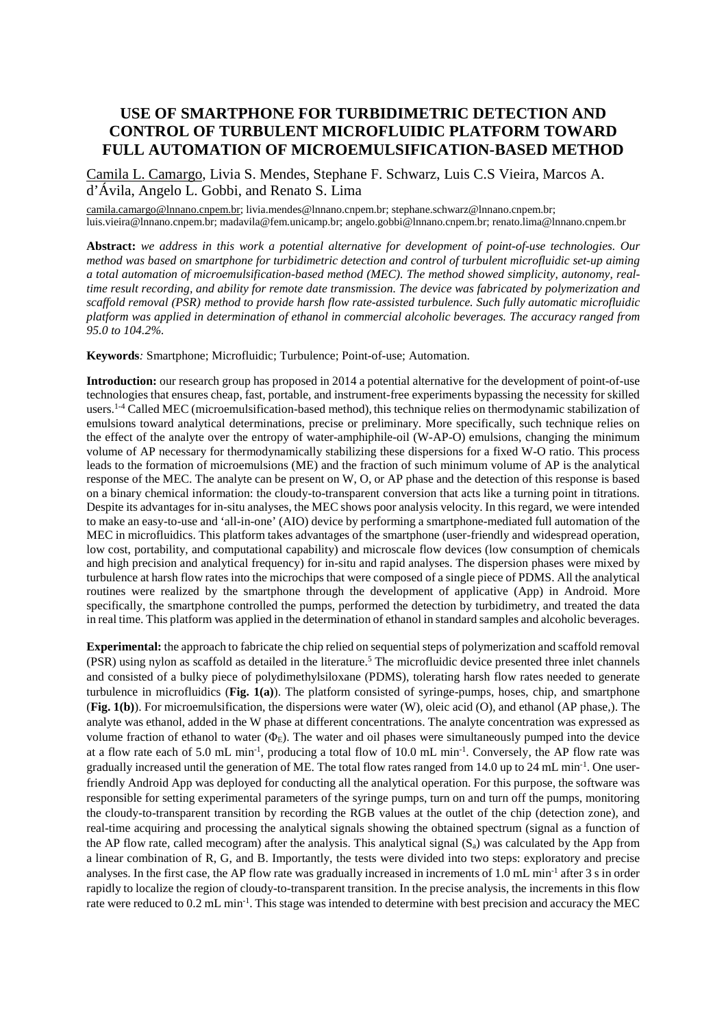## **USE OF SMARTPHONE FOR TURBIDIMETRIC DETECTION AND CONTROL OF TURBULENT MICROFLUIDIC PLATFORM TOWARD FULL AUTOMATION OF MICROEMULSIFICATION-BASED METHOD**

Camila L. Camargo, Livia S. Mendes, Stephane F. Schwarz, Luis C.S Vieira, Marcos A. d'Ávila, Angelo L. Gobbi, and Renato S. Lima

camila.camargo@lnnano.cnpem.br; livia.mendes@lnnano.cnpem.br; stephane.schwarz@lnnano.cnpem.br; luis.vieira@lnnano.cnpem.br; madavila@fem.unicamp.br; angelo.gobbi@lnnano.cnpem.br; renato.lima@lnnano.cnpem.br

**Abstract:** *we address in this work a potential alternative for development of point-of-use technologies. Our method was based on smartphone for turbidimetric detection and control of turbulent microfluidic set-up aiming a total automation of microemulsification-based method (MEC). The method showed simplicity, autonomy, realtime result recording, and ability for remote date transmission. The device was fabricated by polymerization and scaffold removal (PSR) method to provide harsh flow rate-assisted turbulence. Such fully automatic microfluidic platform was applied in determination of ethanol in commercial alcoholic beverages. The accuracy ranged from 95.0 to 104.2%.* 

**Keywords***:* Smartphone; Microfluidic; Turbulence; Point-of-use; Automation.

**Introduction:** our research group has proposed in 2014 a potential alternative for the development of point-of-use technologies that ensures cheap, fast, portable, and instrument-free experiments bypassing the necessity for skilled users.<sup>1-4</sup> Called MEC (microemulsification-based method), this technique relies on thermodynamic stabilization of emulsions toward analytical determinations, precise or preliminary. More specifically, such technique relies on the effect of the analyte over the entropy of water-amphiphile-oil (W-AP-O) emulsions, changing the minimum volume of AP necessary for thermodynamically stabilizing these dispersions for a fixed W-O ratio. This process leads to the formation of microemulsions (ME) and the fraction of such minimum volume of AP is the analytical response of the MEC. The analyte can be present on W, O, or AP phase and the detection of this response is based on a binary chemical information: the cloudy-to-transparent conversion that acts like a turning point in titrations. Despite its advantages for in-situ analyses, the MEC shows poor analysis velocity. In this regard, we were intended to make an easy-to-use and 'all-in-one' (AIO) device by performing a smartphone-mediated full automation of the MEC in microfluidics. This platform takes advantages of the smartphone (user-friendly and widespread operation, low cost, portability, and computational capability) and microscale flow devices (low consumption of chemicals and high precision and analytical frequency) for in-situ and rapid analyses. The dispersion phases were mixed by turbulence at harsh flow rates into the microchips that were composed of a single piece of PDMS. All the analytical routines were realized by the smartphone through the development of applicative (App) in Android. More specifically, the smartphone controlled the pumps, performed the detection by turbidimetry, and treated the data in real time. This platform was applied in the determination of ethanol in standard samples and alcoholic beverages.

**Experimental:** the approach to fabricate the chip relied on sequential steps of polymerization and scaffold removal (PSR) using nylon as scaffold as detailed in the literature.<sup>5</sup> The microfluidic device presented three inlet channels and consisted of a bulky piece of polydimethylsiloxane (PDMS), tolerating harsh flow rates needed to generate turbulence in microfluidics (**Fig. 1(a)**). The platform consisted of syringe-pumps, hoses, chip, and smartphone (**Fig. 1(b)**). For microemulsification, the dispersions were water (W), oleic acid (O), and ethanol (AP phase,). The analyte was ethanol, added in the W phase at different concentrations. The analyte concentration was expressed as volume fraction of ethanol to water  $(\Phi_E)$ . The water and oil phases were simultaneously pumped into the device at a flow rate each of 5.0 mL min-1, producing a total flow of 10.0 mL min-1. Conversely, the AP flow rate was gradually increased until the generation of ME. The total flow rates ranged from 14.0 up to 24 mL min<sup>-1</sup>. One userfriendly Android App was deployed for conducting all the analytical operation. For this purpose, the software was responsible for setting experimental parameters of the syringe pumps, turn on and turn off the pumps, monitoring the cloudy-to-transparent transition by recording the RGB values at the outlet of the chip (detection zone), and real-time acquiring and processing the analytical signals showing the obtained spectrum (signal as a function of the AP flow rate, called mecogram) after the analysis. This analytical signal  $(S_a)$  was calculated by the App from a linear combination of R, G, and B. Importantly, the tests were divided into two steps: exploratory and precise analyses. In the first case, the AP flow rate was gradually increased in increments of  $1.0$  mL min<sup>-1</sup> after  $3 \text{ s}$  in order rapidly to localize the region of cloudy-to-transparent transition. In the precise analysis, the increments in this flow rate were reduced to 0.2 mL min-1. This stage was intended to determine with best precision and accuracy the MEC